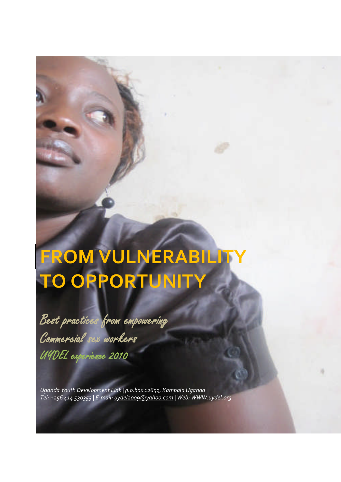# **FROM VULNERABILI TO OPPORTUNITY**

Best practices from empowering

Commercial sex workers UYDEL experience 2010

*Uganda Youth Development Link | p.o.box 12659, Kampala Uganda Tel: +256 414 530353 | E-mail: uydel2009@yahoo.com | Web: WWW.uydel.org*

**i**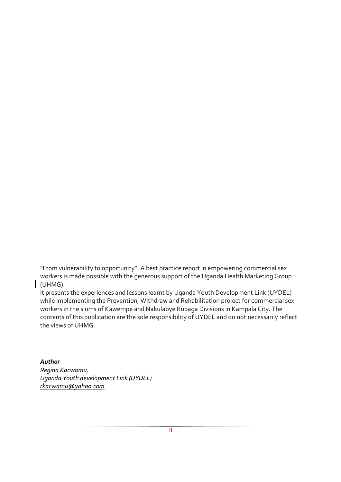"From vulnerability to opportunity": A best practice report in empowering commercial sex workers is made possible with the generous support of the Uganda Health Marketing Group (UHMG).

It presents the experiences and lessons learnt by Uganda Youth Development Link (UYDEL) while implementing the Prevention, Withdraw and Rehabilitation project for commercial sex workers in the slums of Kawempe and Nakulabye Rubaga Divisions in Kampala City. The contents of this publication are the sole responsibility of UYDEL and do not necessarily reflect the views of UHMG.

#### *Author*

*Regina Kacwamu, Uganda Youth development Link (UYDEL) rkacwamu@yahoo.com*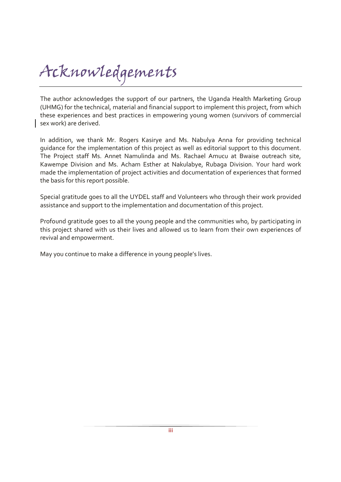The author acknowledges the support of our partners, the Uganda Health Marketing Group (UHMG) for the technical, material and financial support to implement this project, from which these experiences and best practices in empowering young women (survivors of commercial sex work) are derived.

In addition, we thank Mr. Rogers Kasirye and Ms. Nabulya Anna for providing technical guidance for the implementation of this project as well as editorial support to this document. The Project staff Ms. Annet Namulinda and Ms. Rachael Amucu at Bwaise outreach site, Kawempe Division and Ms. Acham Esther at Nakulabye, Rubaga Division. Your hard work made the implementation of project activities and documentation of experiences that formed the basis for this report possible.

Special gratitude goes to all the UYDEL staff and Volunteers who through their work provided assistance and support to the implementation and documentation of this project.

Profound gratitude goes to all the young people and the communities who, by participating in this project shared with us their lives and allowed us to learn from their own experiences of revival and empowerment.

May you continue to make a difference in young people's lives.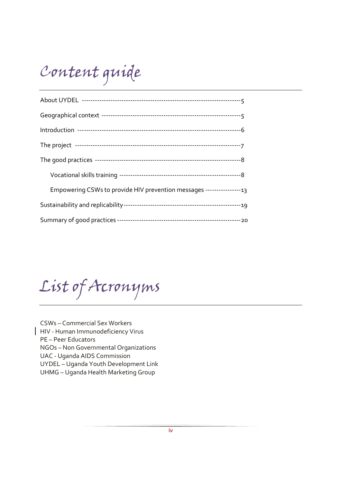### Content guide

| Empowering CSWs to provide HIV prevention messages ----------------------------- |  |
|----------------------------------------------------------------------------------|--|
|                                                                                  |  |
|                                                                                  |  |

List of Acronyms

CSWs – Commercial Sex Workers HIV - Human Immunodeficiency Virus PE – Peer Educators NGOs – Non Governmental Organizations UAC - Uganda AIDS Commission UYDEL – Uganda Youth Development Link UHMG – Uganda Health Marketing Group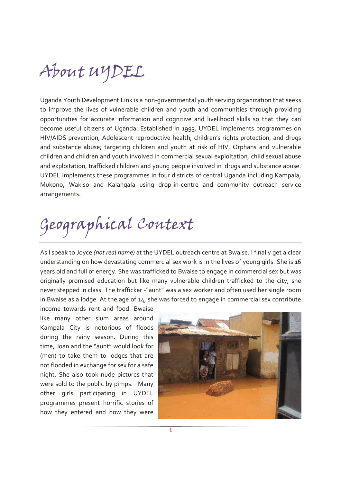### About UYDEL

Uganda Youth Development Link is a non-governmental youth serving organization that seeks to improve the lives of vulnerable children and youth and communities through providing opportunities for accurate information and cognitive and livelihood skills so that they can become useful citizens of Uganda. Established in 1993, UYDEL implements programmes on HIV/AIDS prevention, Adolescent reproductive health, children's rights protection, and drugs and substance abuse; targeting children and youth at risk of HIV, Orphans and vulnerable children and children and youth involved in commercial sexual exploitation, child sexual abuse and exploitation, trafficked children and young people involved in drugs and substance abuse. UYDEL implements these programmes in four districts of central Uganda including Kampala, Mukono, Wakiso and Kalangala using drop-in-centre and community outreach service arrangements.

### Geographical Context

As I speak to Joyce *(not real name)* at the UYDEL outreach centre at Bwaise. I finally get a clear understanding on how devastating commercial sex work is in the lives of young girls. She is 16 years old and full of energy. She was trafficked to Bwaise to engage in commercial sex but was originally promised education but like many vulnerable children trafficked to the city, she never stepped in class. The trafficker -"aunt" was a sex worker and often used her single room in Bwaise as a lodge. At the age of 14, she was forced to engage in commercial sex contribute

income towards rent and food. Bwaise like many other slum areas around Kampala City is notorious of floods during the rainy season. During this time, Joan and the "aunt" would look for (men) to take them to lodges that are not flooded in exchange for sex for a safe night. She also took nude pictures that were sold to the public by pimps. Many other girls participating in UYDEL programmes present horrific stories of how they entered and how they were

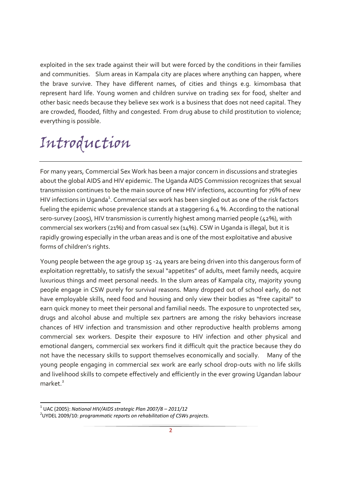exploited in the sex trade against their will but were forced by the conditions in their families and communities. Slum areas in Kampala city are places where anything can happen, where the brave survive. They have different names, of cities and things e.g. kimombasa that represent hard life. Young women and children survive on trading sex for food, shelter and other basic needs because they believe sex work is a business that does not need capital. They are crowded, flooded, filthy and congested. From drug abuse to child prostitution to violence; everything is possible.

### Introduction

For many years, Commercial Sex Work has been a major concern in discussions and strategies about the global AIDS and HIV epidemic. The Uganda AIDS Commission recognizes that sexual transmission continues to be the main source of new HIV infections, accounting for 76% of new HIV infections in Uganda<sup>1</sup>. Commercial sex work has been singled out as one of the risk factors fueling the epidemic whose prevalence stands at a staggering 6.4 %. According to the national sero-survey (2005), HIV transmission is currently highest among married people (42%), with commercial sex workers (21%) and from casual sex (14%). CSW in Uganda is illegal, but it is rapidly growing especially in the urban areas and is one of the most exploitative and abusive forms of children's rights.

Young people between the age group 15 -24 years are being driven into this dangerous form of exploitation regrettably, to satisfy the sexual "appetites" of adults, meet family needs, acquire luxurious things and meet personal needs. In the slum areas of Kampala city, majority young people engage in CSW purely for survival reasons. Many dropped out of school early, do not have employable skills, need food and housing and only view their bodies as "free capital" to earn quick money to meet their personal and familial needs. The exposure to unprotected sex, drugs and alcohol abuse and multiple sex partners are among the risky behaviors increase chances of HIV infection and transmission and other reproductive health problems among commercial sex workers. Despite their exposure to HIV infection and other physical and emotional dangers, commercial sex workers find it difficult quit the practice because they do not have the necessary skills to support themselves economically and socially. Many of the young people engaging in commercial sex work are early school drop-outs with no life skills and livelihood skills to compete effectively and efficiently in the ever growing Ugandan labour market.<sup>2</sup>

<sup>1</sup> UAC (2005): *National HIV/AIDS strategic Plan 2007/8 – 2011/12*

<sup>2</sup> UYDEL 2009/10: *programmatic reports on rehabilitation of CSWs projects.*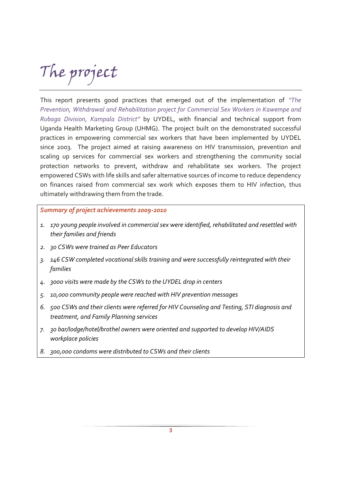The project

This report presents good practices that emerged out of the implementation of *"The Prevention, Withdrawal and Rehabilitation project for Commercial Sex Workers in Kawempe and Rubaga Division, Kampala District"* by UYDEL, with financial and technical support from Uganda Health Marketing Group (UHMG). The project built on the demonstrated successful practices in empowering commercial sex workers that have been implemented by UYDEL since 2003. The project aimed at raising awareness on HIV transmission, prevention and scaling up services for commercial sex workers and strengthening the community social protection networks to prevent, withdraw and rehabilitate sex workers. The project empowered CSWs with life skills and safer alternative sources of income to reduce dependency on finances raised from commercial sex work which exposes them to HIV infection, thus ultimately withdrawing them from the trade.

*Summary of project achievements 2009-2010*

- *1. 170 young people involved in commercial sex were identified, rehabilitated and resettled with their families and friends*
- *2. 30 CSWs were trained as Peer Educators*
- *3. 146 CSW completed vocational skills training and were successfully reintegrated with their families*
- *4. 3000 visits were made by the CSWs to the UYDEL drop in centers*
- *5. 10,000 community people were reached with HIV prevention messages*
- *6. 500 CSWs and their clients were referred for HIV Counseling and Testing, STI diagnosis and treatment, and Family Planning services*
- *7. 30 bar/lodge/hotel/brothel owners were oriented and supported to develop HIV/AIDS workplace policies*
- *8. 300,000 condoms were distributed to CSWs and their clients*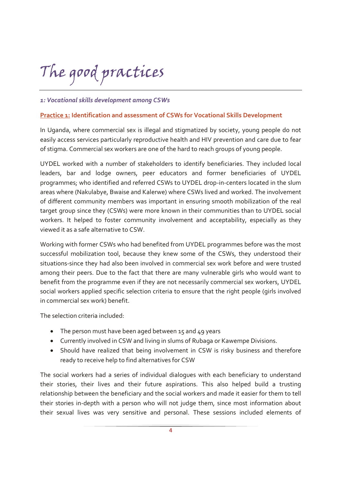# The good practices

#### *1: Vocational skills development among CSWs*

#### **Practice 1: Identification and assessment of CSWs for Vocational Skills Development**

In Uganda, where commercial sex is illegal and stigmatized by society, young people do not easily access services particularly reproductive health and HIV prevention and care due to fear of stigma. Commercial sex workers are one of the hard to reach groups of young people.

UYDEL worked with a number of stakeholders to identify beneficiaries. They included local leaders, bar and lodge owners, peer educators and former beneficiaries of UYDEL programmes; who identified and referred CSWs to UYDEL drop-in-centers located in the slum areas where (Nakulabye, Bwaise and Kalerwe) where CSWs lived and worked. The involvement of different community members was important in ensuring smooth mobilization of the real target group since they (CSWs) were more known in their communities than to UYDEL social workers. It helped to foster community involvement and acceptability, especially as they viewed it as a safe alternative to CSW.

Working with former CSWs who had benefited from UYDEL programmes before was the most successful mobilization tool, because they knew some of the CSWs, they understood their situations-since they had also been involved in commercial sex work before and were trusted among their peers. Due to the fact that there are many vulnerable girls who would want to benefit from the programme even if they are not necessarily commercial sex workers, UYDEL social workers applied specific selection criteria to ensure that the right people (girls involved in commercial sex work) benefit.

The selection criteria included:

- The person must have been aged between 15 and 49 years
- Currently involved in CSW and living in slums of Rubaga or Kawempe Divisions.
- Should have realized that being involvement in CSW is risky business and therefore ready to receive help to find alternatives for CSW

The social workers had a series of individual dialogues with each beneficiary to understand their stories, their lives and their future aspirations. This also helped build a trusting relationship between the beneficiary and the social workers and made it easier for them to tell their stories in-depth with a person who will not judge them, since most information about their sexual lives was very sensitive and personal. These sessions included elements of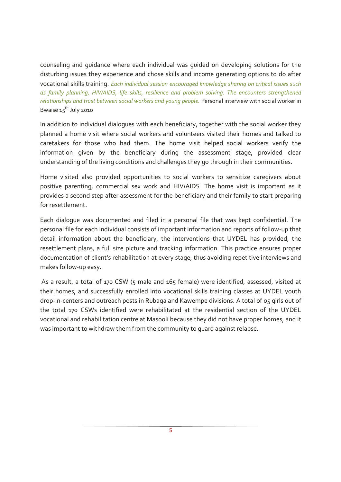counseling and guidance where each individual was guided on developing solutions for the disturbing issues they experience and chose skills and income generating options to do after vocational skills training. *Each individual session encouraged knowledge sharing on critical issues such as family planning, HIV/AIDS, life skills, resilience and problem solving. The encounters strengthened relationships and trust between social workers and young people.* Personal interview with social worker in Bwaise  $15^{th}$  July 2010

In addition to individual dialogues with each beneficiary, together with the social worker they planned a home visit where social workers and volunteers visited their homes and talked to caretakers for those who had them. The home visit helped social workers verify the information given by the beneficiary during the assessment stage, provided clear understanding of the living conditions and challenges they go through in their communities.

Home visited also provided opportunities to social workers to sensitize caregivers about positive parenting, commercial sex work and HIV/AIDS. The home visit is important as it provides a second step after assessment for the beneficiary and their family to start preparing for resettlement.

Each dialogue was documented and filed in a personal file that was kept confidential. The personal file for each individual consists of important information and reports of follow-up that detail information about the beneficiary, the interventions that UYDEL has provided, the resettlement plans, a full size picture and tracking information. This practice ensures proper documentation of client's rehabilitation at every stage, thus avoiding repetitive interviews and makes follow-up easy.

As a result, a total of 170 CSW (5 male and 165 female) were identified, assessed, visited at their homes, and successfully enrolled into vocational skills training classes at UYDEL youth drop-in-centers and outreach posts in Rubaga and Kawempe divisions. A total of 05 girls out of the total 170 CSWs identified were rehabilitated at the residential section of the UYDEL vocational and rehabilitation centre at Masooli because they did not have proper homes, and it was important to withdraw them from the community to guard against relapse.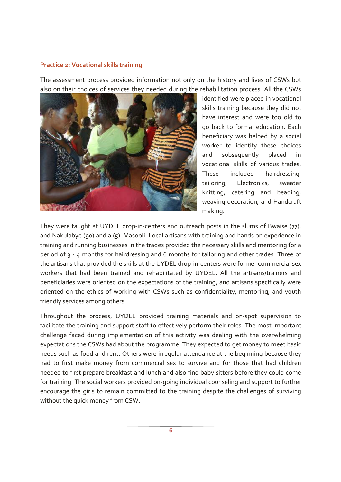#### **Practice 2: Vocational skills training**

The assessment process provided information not only on the history and lives of CSWs but also on their choices of services they needed during the rehabilitation process. All the CSWs



identified were placed in vocational skills training because they did not have interest and were too old to go back to formal education. Each beneficiary was helped by a social worker to identify these choices and subsequently placed in vocational skills of various trades. These included hairdressing, tailoring, Electronics, sweater knitting, catering and beading, weaving decoration, and Handcraft making.

They were taught at UYDEL drop-in-centers and outreach posts in the slums of Bwaise (77), and Nakulabye (90) and a (5) Masooli. Local artisans with training and hands on experience in training and running businesses in the trades provided the necessary skills and mentoring for a period of 3 - 4 months for hairdressing and 6 months for tailoring and other trades. Three of the artisans that provided the skills at the UYDEL drop-in-centers were former commercial sex workers that had been trained and rehabilitated by UYDEL. All the artisans/trainers and beneficiaries were oriented on the expectations of the training, and artisans specifically were oriented on the ethics of working with CSWs such as confidentiality, mentoring, and youth friendly services among others.

Throughout the process, UYDEL provided training materials and on-spot supervision to facilitate the training and support staff to effectively perform their roles. The most important challenge faced during implementation of this activity was dealing with the overwhelming expectations the CSWs had about the programme. They expected to get money to meet basic needs such as food and rent. Others were irregular attendance at the beginning because they had to first make money from commercial sex to survive and for those that had children needed to first prepare breakfast and lunch and also find baby sitters before they could come for training. The social workers provided on-going individual counseling and support to further encourage the girls to remain committed to the training despite the challenges of surviving without the quick money from CSW.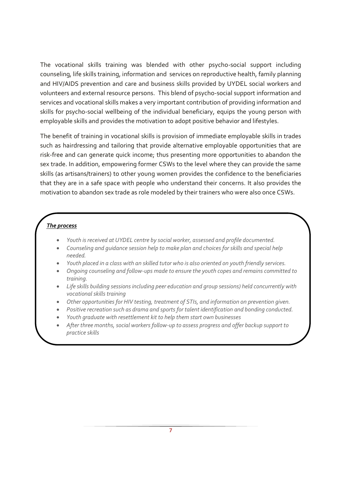The vocational skills training was blended with other psycho-social support including counseling, life skills training, information and services on reproductive health, family planning and HIV/AIDS prevention and care and business skills provided by UYDEL social workers and volunteers and external resource persons. This blend of psycho-social support information and services and vocational skills makes a very important contribution of providing information and skills for psycho-social wellbeing of the individual beneficiary, equips the young person with employable skills and provides the motivation to adopt positive behavior and lifestyles.

The benefit of training in vocational skills is provision of immediate employable skills in trades such as hairdressing and tailoring that provide alternative employable opportunities that are risk-free and can generate quick income; thus presenting more opportunities to abandon the sex trade. In addition, empowering former CSWs to the level where they can provide the same skills (as artisans/trainers) to other young women provides the confidence to the beneficiaries that they are in a safe space with people who understand their concerns. It also provides the motivation to abandon sex trade as role modeled by their trainers who were also once CSWs.

#### *The process*

- *Youth is received at UYDEL centre by social worker, assessed and profile documented.*
- *Counseling and guidance session help to make plan and choices for skills and special help needed.*
- *Youth placed in a class with an skilled tutor who is also oriented on youth friendly services.*
- *Ongoing counseling and follow-ups made to ensure the youth copes and remains committed to training.*
- *Life skills building sessions including peer education and group sessions) held concurrently with vocational skills training*
- *Other opportunities for HIV testing, treatment of STIs, and information on prevention given.*
- *Positive recreation such as drama and sports for talent identification and bonding conducted.*
- *Youth graduate with resettlement kit to help them start own businesses*
- *After three months, social workers follow-up to assess progress and offer backup support to practice skills*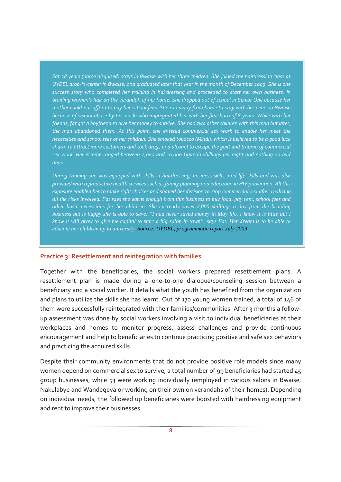*Fat 28 years (name disguised) stays in Bwaise with her three children. She joined the hairdressing class at UYDEL drop-in-center in Bwaise, and graduated later that year in the month of December 2009. She is one success story who completed her training in hairdressing and proceeded to start her own business, in braiding women's hair on the verandah of her home. She dropped out of school in Senior One because her mother could not afford to pay her school fees. She run away from home to stay with her peers in Bwaise because of sexual abuse by her uncle who impregnated her with her first born of 8 years. While with her friends, fat got a boyfriend to give her money to survive. She had two other children with this man but later, the man abandoned them. At this point, she entered commercial sex work to enable her meet the necessities and school fees of her children. She smoked tobacco (Mindi), which is believed to be a good luck charm to attract more customers and took drugs and alcohol to escape the guilt and trauma of commercial sex work. Her income ranged between 2,000 and 10,000 Uganda shillings per night and nothing on bad days.*

*During training she was equipped with skills in hairdressing, business skills, and life skills and was also provided with reproductive health services such as family planning and education in HIV prevention. All this exposure enabled her to make right choices and shaped her decision to stop commercial sex after realizing all the risks involved. Fat says she earns enough from this business to buy food, pay rent, school fees and other basic necessities for her children. She currently saves 2,000 shillings a day from the braiding business but is happy she is able to save. "I had never saved money in May life, I know it is little but I know it will grow to give me capital to start a big salon in town". says Fat. Her dream is to be able to educate her children up to university. Source: UYDEL, programmatic report July 2009*

#### **Practice 3: Resettlement and reintegration with families**

Together with the beneficiaries, the social workers prepared resettlement plans. A resettlement plan is made during a one-to-one dialogue/counseling session between a beneficiary and a social worker. It details what the youth has benefited from the organization and plans to utilize the skills she has learnt. Out of 170 young women trained, a total of 146 of them were successfully reintegrated with their families/communities. After 3 months a followup assessment was done by social workers involving a visit to individual beneficiaries at their workplaces and homes to monitor progress, assess challenges and provide continuous encouragement and help to beneficiaries to continue practicing positive and safe sex behaviors and practicing the acquired skills.

Despite their community environments that do not provide positive role models since many women depend on commercial sex to survive, a total number of 99 beneficiaries had started 45 group businesses, while 53 were working individually (employed in various salons in Bwaise, Nakulabye and Wandegeya or working on their own on verandahs of their homes). Depending on individual needs, the followed up beneficiaries were boosted with hairdressing equipment and rent to improve their businesses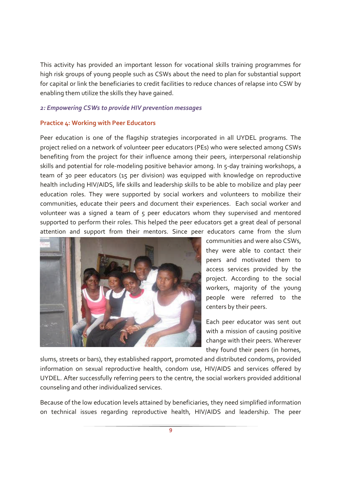This activity has provided an important lesson for vocational skills training programmes for high risk groups of young people such as CSWs about the need to plan for substantial support for capital or link the beneficiaries to credit facilities to reduce chances of relapse into CSW by enabling them utilize the skills they have gained.

#### *2: Empowering CSWs to provide HIV prevention messages*

#### **Practice 4: Working with Peer Educators**

Peer education is one of the flagship strategies incorporated in all UYDEL programs. The project relied on a network of volunteer peer educators (PEs) who were selected among CSWs benefiting from the project for their influence among their peers, interpersonal relationship skills and potential for role-modeling positive behavior among. In 5-day training workshops, a team of 30 peer educators (15 per division) was equipped with knowledge on reproductive health including HIV/AIDS, life skills and leadership skills to be able to mobilize and play peer education roles. They were supported by social workers and volunteers to mobilize their communities, educate their peers and document their experiences. Each social worker and volunteer was a signed a team of 5 peer educators whom they supervised and mentored supported to perform their roles. This helped the peer educators get a great deal of personal attention and support from their mentors. Since peer educators came from the slum



communities and were also CSWs, they were able to contact their peers and motivated them to access services provided by the project. According to the social workers, majority of the young people were referred to the centers by their peers.

Each peer educator was sent out with a mission of causing positive change with their peers. Wherever they found their peers (in homes,

slums, streets or bars), they established rapport, promoted and distributed condoms, provided information on sexual reproductive health, condom use, HIV/AIDS and services offered by UYDEL. After successfully referring peers to the centre, the social workers provided additional counseling and other individualized services.

Because of the low education levels attained by beneficiaries, they need simplified information on technical issues regarding reproductive health, HIV/AIDS and leadership. The peer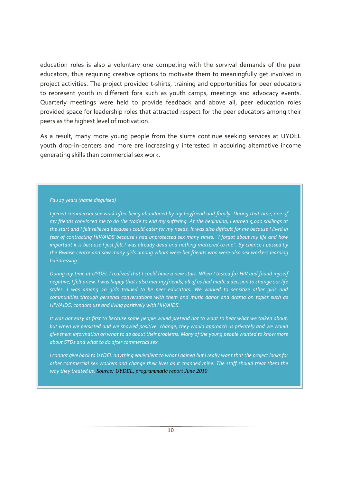education roles is also a voluntary one competing with the survival demands of the peer educators, thus requiring creative options to motivate them to meaningfully get involved in project activities. The project provided t-shirts, training and opportunities for peer educators to represent youth in different fora such as youth camps, meetings and advocacy events. Quarterly meetings were held to provide feedback and above all, peer education roles provided space for leadership roles that attracted respect for the peer educators among their peers as the highest level of motivation.

As a result, many more young people from the slums continue seeking services at UYDEL youth drop-in-centers and more are increasingly interested in acquiring alternative income generating skills than commercial sex work.

#### *Fau 27 years (name disguised)*

*I joined commercial sex work after being abandoned by my boyfriend and family. During that time, one of my friends convinced me to do the trade to end my suffering. At the beginning, I earned 5,000 shillings at the start and I felt relieved because I could cater for my needs. It was also difficult for me because I lived in fear of contracting HIV/AIDS because I had unprotected sex many times. "I forgot about my life and how important it is because I just felt I was already dead and nothing mattered to me". By chance I passed by the Bwaise centre and saw many girls among whom were her friends who were also sex workers learning hairdressing.*

*During my time at UYDEL I realized that I could have a new start. When I tasted for HIV and found myself negative, I felt anew. I was happy that I also met my friends; all of us had made a decision to change our life styles. I was among 20 girls trained to be peer educators. We worked to sensitize other girls and communities through personal conversations with them and music dance and drama on topics such as HIV/AIDS, condom use and living positively with HIV/AIDS.*

*It was not easy at first to because some people would pretend not to want to hear what we talked about, but when we persisted and we showed positive change, they would approach us privately and we would give them information on what to do about their problems. Many of the young people wanted to know more about STDs and what to do after commercial sex.*

*I cannot give back to UYDEL anything equivalent to what I gained but I really want that the project looks for other commercial sex workers and change their lives as it changed mine. The staff should treat them the way they treated us. Source: UYDEL, programmatic report June 2010*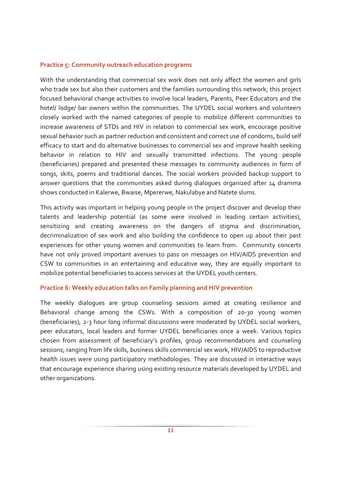#### **Practice 5: Community outreach education programs**

With the understanding that commercial sex work does not only affect the women and girls who trade sex but also their customers and the families surrounding this network; this project focused behavioral change activities to involve local leaders, Parents, Peer Educators and the hotel/ lodge/ bar owners within the communities. The UYDEL social workers and volunteers closely worked with the named categories of people to mobilize different communities to increase awareness of STDs and HIV in relation to commercial sex work, encourage positive sexual behavior such as partner reduction and consistent and correct use of condoms, build self efficacy to start and do alternative businesses to commercial sex and improve health seeking behavior in relation to HIV and sexually transmitted infections. The young people (beneficiaries) prepared and presented these messages to community audiences in form of songs, skits, poems and traditional dances. The social workers provided backup support to answer questions that the communities asked during dialogues organized after 14 dramma shows conducted in Kalerwe, Bwaise, Mpererwe, Nakulabye and Natete slums.

This activity was important in helping young people in the project discover and develop their talents and leadership potential (as some were involved in leading certain activities), sensitizing and creating awareness on the dangers of stigma and discrimination, decriminalization of sex work and also building the confidence to open up about their past experiences for other young women and communities to learn from. Community concerts have not only proved important avenues to pass on messages on HIV/AIDS prevention and CSW to communities in an entertaining and educative way, they are equally important to mobilize potential beneficiaries to access services at the UYDEL youth centers.

#### **Practice 6: Weekly education talks on Family planning and HIV prevention**

The weekly dialogues are group counseling sessions aimed at creating resilience and Behavioral change among the CSWs. With a composition of 20-30 young women (beneficiaries), 2-3 hour long informal discussions were moderated by UYDEL social workers, peer educators, local leaders and former UYDEL beneficiaries once a week. Various topics chosen from assessment of beneficiary's profiles, group recommendations and counseling sessions; ranging from life skills, business skills commercial sex work, HIV/AIDS to reproductive health issues were using participatory methodologies. They are discussed in interactive ways that encourage experience sharing using existing resource materials developed by UYDEL and other organizations.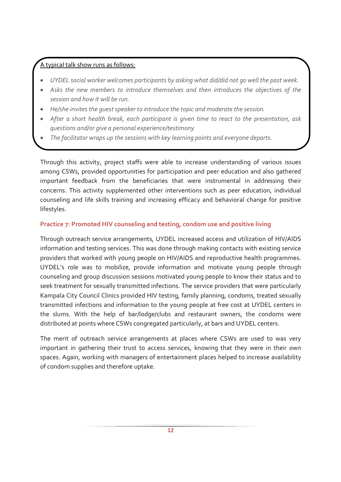#### A typical talk show runs as follows:

- *UYDEL social worker welcomes participants by asking what did/did not go well the past week.*
- *Asks the new members to introduce themselves and then introduces the objectives of the session and how it will be run.*
- *He/she invites the guest speaker to introduce the topic and moderate the session.*
- *After a short health break, each participant is given time to react to the presentation, ask questions and/or give a personal experience/testimony*
- *The facilitator wraps up the sessions with key learning points and everyone departs.*

Through this activity, project staffs were able to increase understanding of various issues among CSWs, provided opportunities for participation and peer education and also gathered important feedback from the beneficiaries that were instrumental in addressing their concerns. This activity supplemented other interventions such as peer education, individual counseling and life skills training and increasing efficacy and behavioral change for positive lifestyles.

#### **Practice 7: Promoted HIV counseling and testing, condom use and positive living**

Through outreach service arrangements, UYDEL increased access and utilization of HIV/AIDS information and testing services. This was done through making contacts with existing service providers that worked with young people on HIV/AIDS and reproductive health programmes. UYDEL's role was to mobilize, provide information and motivate young people through counseling and group discussion sessions motivated young people to know their status and to seek treatment for sexually transmitted infections. The service providers that were particularly Kampala City Council Clinics provided HIV testing, family planning, condoms, treated sexually transmitted infections and information to the young people at free cost at UYDEL centers in the slums. With the help of bar/lodge/clubs and restaurant owners, the condoms were distributed at points where CSWs congregated particularly, at bars and UYDEL centers.

The merit of outreach service arrangements at places where CSWs are used to was very important in gathering their trust to access services, knowing that they were in their own spaces. Again, working with managers of entertainment places helped to increase availability of condom supplies and therefore uptake.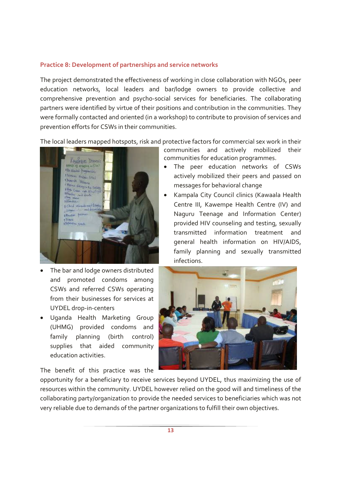#### **Practice 8: Development of partnerships and service networks**

The project demonstrated the effectiveness of working in close collaboration with NGOs, peer education networks, local leaders and bar/lodge owners to provide collective and comprehensive prevention and psycho-social services for beneficiaries. The collaborating partners were identified by virtue of their positions and contribution in the communities. They were formally contacted and oriented (in a workshop) to contribute to provision of services and prevention efforts for CSWs in their communities.

The local leaders mapped hotspots, risk and protective factors for commercial sex work in their



- The bar and lodge owners distributed and promoted condoms among CSWs and referred CSWs operating from their businesses for services at UYDEL drop-in-centers
- Uganda Health Marketing Group (UHMG) provided condoms and family planning (birth control) supplies that aided community education activities.

The benefit of this practice was the

opportunity for a beneficiary to receive services beyond UYDEL, thus maximizing the use of

communities and actively mobilized their communities for education programmes.

- The peer education networks of CSWs actively mobilized their peers and passed on messages for behavioral change
- Kampala City Council clinics (Kawaala Health Centre III, Kawempe Health Centre (IV) and Naguru Teenage and Information Center) provided HIV counseling and testing, sexually transmitted information treatment and general health information on HIV/AIDS, family planning and sexually transmitted infections.



resources within the community. UYDEL however relied on the good will and timeliness of the collaborating party/organization to provide the needed services to beneficiaries which was not very reliable due to demands of the partner organizations to fulfill their own objectives.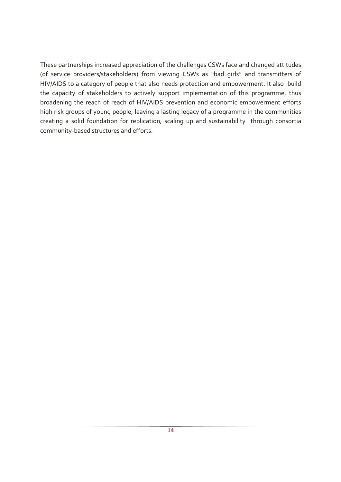These partnerships increased appreciation of the challenges CSWs face and changed attitudes (of service providers/stakeholders) from viewing CSWs as "bad girls" and transmitters of HIV/AIDS to a category of people that also needs protection and empowerment. It also build the capacity of stakeholders to actively support implementation of this programme, thus broadening the reach of reach of HIV/AIDS prevention and economic empowerment efforts high risk groups of young people, leaving a lasting legacy of a programme in the communities creating a solid foundation for replication, scaling up and sustainability through consortia community-based structures and efforts.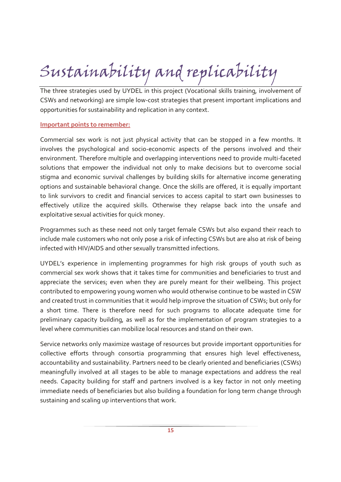# Sustainability and replicability

The three strategies used by UYDEL in this project (Vocational skills training, involvement of CSWs and networking) are simple low-cost strategies that present important implications and opportunities for sustainability and replication in any context.

#### **Important points to remember:**

Commercial sex work is not just physical activity that can be stopped in a few months. It involves the psychological and socio-economic aspects of the persons involved and their environment. Therefore multiple and overlapping interventions need to provide multi-faceted solutions that empower the individual not only to make decisions but to overcome social stigma and economic survival challenges by building skills for alternative income generating options and sustainable behavioral change. Once the skills are offered, it is equally important to link survivors to credit and financial services to access capital to start own businesses to effectively utilize the acquired skills. Otherwise they relapse back into the unsafe and exploitative sexual activities for quick money.

Programmes such as these need not only target female CSWs but also expand their reach to include male customers who not only pose a risk of infecting CSWs but are also at risk of being infected with HIV/AIDS and other sexually transmitted infections.

UYDEL's experience in implementing programmes for high risk groups of youth such as commercial sex work shows that it takes time for communities and beneficiaries to trust and appreciate the services; even when they are purely meant for their wellbeing. This project contributed to empowering young women who would otherwise continue to be wasted in CSW and created trust in communities that it would help improve the situation of CSWs; but only for a short time. There is therefore need for such programs to allocate adequate time for preliminary capacity building, as well as for the implementation of program strategies to a level where communities can mobilize local resources and stand on their own.

Service networks only maximize wastage of resources but provide important opportunities for collective efforts through consortia programming that ensures high level effectiveness, accountability and sustainability. Partners need to be clearly oriented and beneficiaries (CSWs) meaningfully involved at all stages to be able to manage expectations and address the real needs. Capacity building for staff and partners involved is a key factor in not only meeting immediate needs of beneficiaries but also building a foundation for long term change through sustaining and scaling up interventions that work.